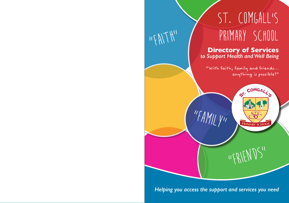

*Helping you access the support and services you need*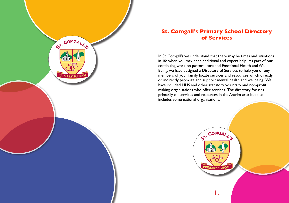

# **St. Comgall's Primary School Directory of Services**

In St. Comgall's we understand that there may be times and situations in life when you may need additional and expert help. As part of our continuing work on pastoral care and Emotional Health and Well Being, we have designed a Directory of Services to help you or any members of your family locate services and resources which directly or indirectly promote and support mental health and wellbeing. We have included NHS and other statutory, voluntary and non-profit making organisations who offer services. The directory focuses primarily on services and resources in the Antrim area but also includes some national organisations.

1.

**PRIMARY SCHOO** 

COMGALL 5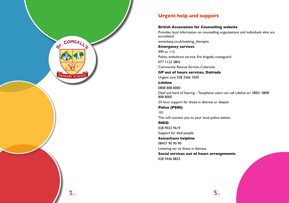

# **Urgent help and support**

#### **British Association for Counselling website**

Provides local information on counselling organisations and individuals who are accredited. www.bacp.co.uk/seeking\_therapist **Emergency services** 999 or 112 Police, ambulance service, fire brigade, coastguard. 077 1123 3802 Community Rescue Service, Coleraine. **GP out of hours services, Dalriada** Urgent care 028 2566 3500 **Lifeline** 0808 808 8000 Deaf and hard of hearing – Textphone users can call Lifeline on 18001 0808 808 8000 24 hour support for those in distress or despair. **Police (PSNI)** 101 This will connect you to your local police station. **RNID** 028 9023 9619 Support for deaf people. **Samaritans helpline** 08457 90 90 90 Listening ear to those in distress.

**Social services out of hours arrangements** 028 9446 8833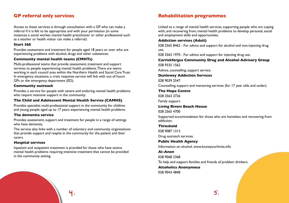# **GP referral only services**

Access to these services is through consultation with a GP who can make a referral if it is felt to be appropriate and with your permission (in some instances a social worker, mental health practitioner or other professional such as a teacher or health visitor can make a referral):

#### **Start 360**

Provides assessment and treatment for people aged 18 years or over who are experiencing problems with alcohol, drugs and other substances.

#### **Community mental health teams (CMHTs)**

Multi-professional teams that provide assessment, treatment and support services to people experiencing mental health problems. There are teams working in each council area within the Northern Health and Social Care Trust. In emergency situations, a crisis response service will link with out of hours GPs or the emergency department (ED).

#### **Community outreach**

Provides a service for people with severe and enduring mental health problems who require intensive support in the community.

#### **The Child and Adolescent Mental Health Service (CAMHS)**

Provides specialist multi-professional support in the community for children and young people aged up to 17 years experiencing mental health problems.

#### **The dementia service**

Provides assessment, support and treatment for people in a range of settings who have dementia.

The service also links with a number of voluntary and community organisations that provide support and respite in the community for the patient and their carers.

#### **Hospital services**

Inpatient and outpatient treatment is provided for those who have severe mental health problems requiring intensive treatment that cannot be provided in the community setting.

# **Rehabilitation programmes**

Linked to a range of mental health services, supporting people who are coping with, and recovering from, mental health problems to develop personal, social and employment skills and opportunities.

#### **Addiction services (Adult)**

028 2565 8462 - For advice and support for alcohol and non-injecting drug use.

028 2563 1970 - For advice and support for injecting drug use.

#### **Carrickfergus Community Drug and Alcohol Advisory Group** 028 9335 1562

Advice, counselling, support service.

**Dunlewey Addiction Services**

028 9039 2547

Counselling, support and mentoring services (for 17 year olds and under).

#### **The Hope Centre**

028 2563 2726

Family support.

#### **Living Rivers Beach House**

028 2565 4700

Supported accommodation for those who are homeless and recovering from addiction.

#### **Threshold**

028 9087 1313

Drug outreach services.

# **Public Health Agency**

Information on alcohol. www.knowyourlimits.info

# **Al-Anon** 028 9068 2368 To help and support families and friends of problem drinkers. **Alcoholics Anonymous**

028 9043 4848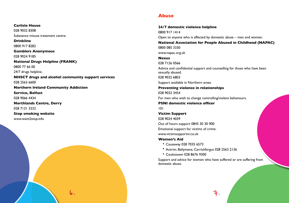**Carlisle House** 028 9032 8308 Substance misuse treatment centre. **Drinkline** 0800 917 8282 **Gamblers Anonymous** 028 9024 9185 **National Drugs Helpline (FRANK)** 0800 77 66 00 24/7 drugs helpline. **NHSCT drugs and alcohol community support services** 028 2563 6600 **Northern Ireland Community Addiction Service, Belfast** 028 9066 4434 **Northlands Centre, Derry** 028 7131 3232 **Stop smoking website** www.want2stop.info

6.

# **Abuse**

**24/7 domestic violence helpline** 0800 917 1414 Open to anyone who is affected by domestic abuse – men and women. **National Association for People Abused in Childhood (NAPAC)** 0800 085 3330 www.napac.org.uk **Nexus** 028 7126 0566 Advice and confidential support and counselling for those who have been sexually abused. 028 9032 6803 Support available in Northern areas. **Preventing violence in relationships** 028 9032 3454 For men who wish to change controlling/violent behaviours. **PSNI domestic violence officer** 101 **Victim Support** 028 9024 4039 Out of hours support 0845 30 30 900 Emotional support for victims of crime. www.victimsupportni.co.uk **Women's Aid**

- Causeway 028 7035 6573
- Antrim, Ballymena, Carrickfergus 028 2563 2136
- Cookstown 028 8676 9300

Support and advice for women who have suffered or are suffering from domestic abuse.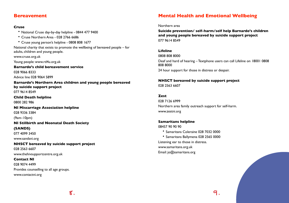# **Bereavement**

#### **Cruse**

• National Cruse day-by-day helpline - 0844 477 9400 • Cruse Northern Area - 028 2766 6686

• Cruse young person's helpline - 0808 808 1677

National charity that exists to promote the wellbeing of bereaved people – for adults, children and young people.

www.cruse.org.uk Young people: www.rd4u.org.uk

**Barnardo's child bereavement service** 028 9066 8333 Advice line 028 9064 5899

**Barnardo's Northern Area children and young people bereaved by suicide support project** 077 9614 8549

**Child Death helpline** 0800 282 986

**NI Miscarriage Association helpline** 028 9336 3384

(9am–10pm)

**NI Stillbirth and Neonatal Death Society**

**(SANDS)**

077 4099 3450

www.sandsni.org

**NHSCT bereaved by suicide support project** 028 2563 6607 www.thehivsupportcentre.org.uk **Contact NI** 028 9074 4499

Provides counselling to all age groups. www.contactni.org

# **Mental Health and Emotional Wellbeing**

Northern area

**Suicide prevention/ self-harm/self help Barnardo's children and young people bereaved by suicide support project** 077 9614 8549

**Lifeline** 0808 808 8000 Deaf and hard of hearing – Textphone users can call Lifeline on 18001 0808 808 8000 24 hour support for those in distress or despair.

**NHSCT bereaved by suicide support project** 028 2563 6607

### **Zest**

028 7126 6999 Northern area family outreach support for self-harm. www.zestni.org

#### **Samaritans helpline**

08457 90 90 90

- Samaritans Coleraine 028 7032 0000
- Samaritans Ballymena 028 2565 0000 Listening ear to those in distress.

www.samaritans.org.uk Email: jo@samaritans.org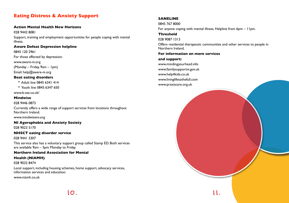# **Eating Distress & Anxiety Support**

#### **Action Mental Health New Horizons**

028 9442 8081 Support, training and employment opportunities for people coping with mental illness.

#### **Aware Defeat Depression helpline**

0845 120 2961 For those affected by depression. www.aware-ni.org

(Monday – Friday, 9am – 1pm)

Email: help@aware-ni.org

#### **Beat eating disorders**

- Adult line 0845 6341 414
- Youth line 0845 6347 650

www.b-eat.co.uk/

#### **Mindwise**

028 9446 0873

Currently offers a wide range of support services from locations throughout Northern Ireland.

www.mindwisenv.org

#### **NI Agoraphobia and Anxiety Society**

028 9023 5170

#### **NHSCT eating disorder service**

028 9441 3307

This service also has a voluntary support group called Stamp ED. Both services are available 9am – 5pm Monday to Friday.

#### **Northern Ireland Association for Mental**

#### **Health (NIAMH)**

028 9032 8474

Local support, including housing schemes, home support, advocacy services, information services and education.

www.niamh.co.uk

## **SANELINE**

0845 767 8000 For anyone coping with mental illness. Helpline from 6pm – 11pm.

**Threshold**

028 9087 1313

Offers residential therapeutic communities and other services to people in Northern Ireland.

# **For information on more services**

# **and support:** www.mindingyourhead.info www.familysupportni.gov.uk www.help4kids.co.uk

www.livinglifetothefull.com www.praxiscare.org.uk

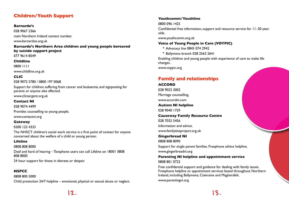# **Children/Youth Support**

#### **Barnardo's**

028 9067 2366 main Northern Ireland contact number. www.barnardos.org.uk

# **Barnardo's Northern Area children and young people bereaved by suicide support project**

077 9614 8549

#### **Childline**

0800 1111

www.childline.org.uk

# **CLIC**

### 028 9072 5780 / 0800 197 0068

Support for children suffering from cancer and leukaemia, and signposting for parents or anyone else affected.

www.clicsargent.org.uk

# **Contact NI**

028 9074 4499

Provides counselling to young people.

www.contactni.org

### **Gateway**

0300 123 4333

The NHSCT children's social work service is a first point of contact for anyone concerned about the welfare of a child or young person.

# **Lifeline**

0808 808 8000 Deaf and hard of hearing – Textphone users can call Lifeline on 18001 0808 808 8000

24 hour support for those in distress or despair.

# **NSPCC**

0808 800 5000 Child protection 24/7 helpline – emotional, physical or sexual abuse or neglect.

# **Youthcomm/Youthline**

## 0800 096 1425

Confidential free information, support and resource service for 11–20 yearolds.

www.youthcomm.org.uk

# **Voice of Young People in Care (VOYPIC)**

- Advocacy line 0845 074 2942
- Ballymena branch 028 2563 2641

Enabling children and young people with experience of care to make life changes.

www.voypic.org

# **Family and relationships**

#### **ACCORD**

028 9023 3002 Marriage counselling. www.accordni.com **Autism NI helpline** 028 9040 1729 **Causeway Family Resource Centre** 028 7032 5456 Information and advice. www.familytiesproject.org.uk **Gingerbread NI** 0808 808 8090 Support for single parent families. Freephone advice helpline. www.gingerbreadni.org

**Parenting NI helpline and appointment service** 0808 801 0722

Free confidential support and guidance for dealing with family issues. Freephone helpline or appointment services based throughout Northern Ireland, including Ballymena, Coleraine and Magherafelt. www.parentingni.org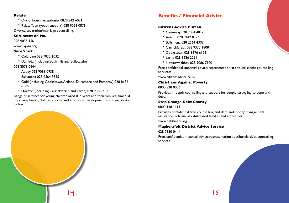#### **Relate**

- Out of hours receptionist 0870 242 6091
- Relate Teen (youth support) 028 9026 0871

Divorce/separation/marriage counselling.

## **St Vincent de Paul**

028 9035 1561

www.svp-ni.org

## **Sure Start**

- Coleraine 028 7032 1032
- Dalriada (including Bushmills and Ballycastle)

# 028 2073 0444

- Abbey 028 9086 0938
- Ballymena 028 2564 3555
- Gold (including Cookstown, Ardboe, Dunamore and Pomeroy) 028 8676 6126
- Horizon (including Carrickfergus and Larne) 028 9086 7100

Range of services for young children aged 0–4 years and their families, aimed at improving health, children's social and emotional development, and their ability to learn.



# **Benefits/ Financial Advice**

# **Citizens Advice Bureau**

- Causeway 028 7034 4817
- Antrim 028 9442 8176
- Ballymena 028 2564 4398
- Carrickfergus 028 9335 1808
- Cookstown 028 8676 6126
- Larne 028 9226 2251
- Newtownabbey 028 9086 7100

Free confidential, impartial advice; representation at tribunals; debt counselling services:

www.citizensadvice.co.uk

# **Christians Against Poverty**

# 0800 328 0006

Provides in-depth counselling and support for people struggling to cope with debt.

# **Step Change Debt Charity**

# 0800 138 1111

Provides confidential, free counselling, and debt and money management assistance to financially distressed families and individuals.

www.debtlineni.org

# **Magherafelt District Advice Service**

# 028 7930 0444

Free, confidential, impartial advice; representation at tribunals; debt counselling services.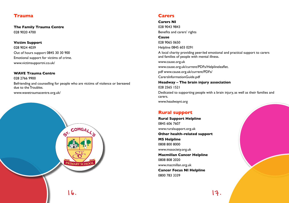# **Trauma**

**The Family Trauma Centre** 028 9020 4700

**Victim Support** 028 9024 4039 Out of hours support 0845 30 30 900 Emotional support for victims of crime.

#### **WAVE Trauma Centre**

www.victimsupportni.co.uk/

028 2766 9900 Befriending and counselling for people who are victims of violence or bereaved due to the Troubles.

www.wavetraumacentre.org.uk/



# **Carers**

**Carers NI**

028 9043 9843 Benefits and carers' rights **Cause** 028 9065 0650 Helpline 0845 603 0291 A local charity providing peer-led emotional and practical support to carers and families of people with mental illness. www.cause.org.uk www.cause.org.uk/current/PDFs/Helplineleaflet. pdf www.cause.org.uk/current/PDFs/ CarersInformationGuide.pdf **Headway – The brain injury association** 028 2565 1521 Dedicated to supporting people with a brain injury, as well as their families and carers.

www.headwayni.org

# **Rural support**

**Rural Support Helpline** 0845 606 7607 www.ruralsupport.org.uk **Other health-related support MS Helpline** 0808 800 8000 www.mssociety.org.uk **Macmillan Cancer Helpline** 0808 808 2020 www.macmillan.org.uk **Cancer Focus NI Helpline** 0800 783 3339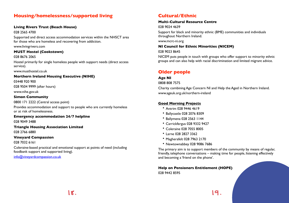# **Housing/homelessness/supported living**

#### **Living Rivers Trust (Beach House)**

028 2565 4700

Supported and direct access accommodation services within the NHSCT area for those who are homeless and recovering from addiction.

www.livingrivers.com

# **MUST Hostel (Cookstown)**

### 028 8676 2065

Hostel primarily for single homeless people with support needs (direct access service).

www.musthostel.co.uk

## **Northern Ireland Housing Executive (NIHE)**

03448 920 900

028 9504 9999 (after hours)

www.nihe.gov.uk

## **Simon Community**

0800 171 2222 (Central access point)

Provides accommodation and support to people who are currently homeless or at risk of homelessness.

**Emergency accommodation 24/7 helpline** 028 9049 3488

**Triangle Housing Association Limited**

028 2766 6880

# **Vineyard Compassion**

028 7032 6161

Coleraine-based practical and emotional support at points of need (including foodbank support and supported living).

info@vineyardcompassion.co.uk

# **Cultural/Ethnic**

## **Multi-Cultural Resource Centre**

028 9024 4639

Support for black and minority ethnic (BME) communities and individuals throughout Northern Ireland.

www.mcrc-ni.org

**NI Council for Ethnic Minorities (NICEM)**

028 9023 8645

NICEM puts people in touch with groups who offer support to minority ethnic groups and can also help with racial discrimination and limited migrant advice.

# **Older people**

# **Age NI**

0808 808 7575

Charity combining Age Concern NI and Help the Aged in Northern Ireland. www.ageuk.org.uk/northern-ireland

# **Good Morning Projects**

- Antrim 028 9446 4619
- Ballycastle 028 2076 8309
- Ballymena 028 2563 1144
- Carrickfergus 028 9332 9427
- Coleraine 028 7055 8005
- Larne 028 2827 3362
- Magherafelt 028 7963 2170
- Newtownabbey 028 9086 7686

The primary aim is to support members of the community by means of regular, friendly, telephone conversations – making time for people, listening effectively and becoming a 'friend on the phone'.

**Help on Pensioners Entitlement (HOPE)** 028 9442 8595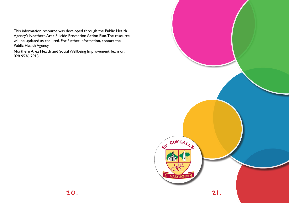This information resource was developed through the Public Health Agency's Northern Area Suicide Prevention Action Plan. The resource will be updated as required. For further information, contact the Public Health Agency

Northern Area Health and Social Wellbeing Improvement Team on: 028 9536 2913.